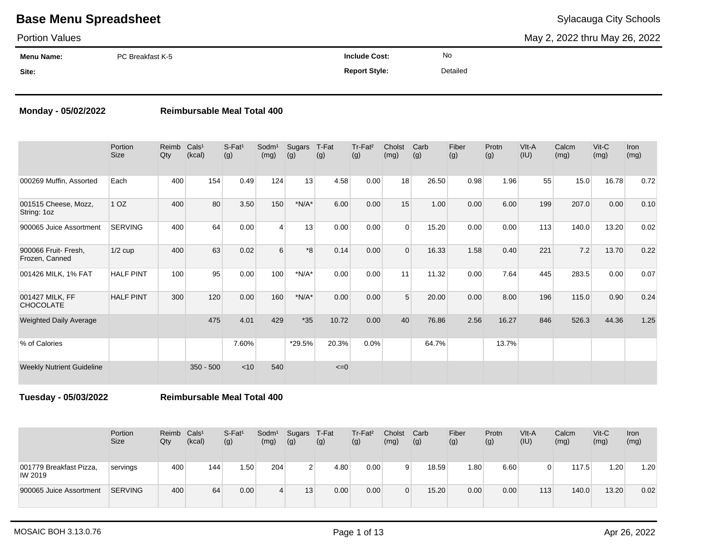#### Portion Values

May 2, 2022 thru May 26, 2022

| Menu Name: | PC Breakfast K-5 | <b>Include Cost:</b> | No       |
|------------|------------------|----------------------|----------|
| Site:      |                  | <b>Report Style:</b> | Detailed |

### **Monday - 05/02/2022 Reimbursable Meal Total 400**

|                                        | Portion<br><b>Size</b> | Reimb<br>Qty | Cals <sup>1</sup><br>(kcal) | $S$ -Fat <sup>1</sup><br>(g) | $S^{odm1}$<br>(mg) | Sugars<br>(g) | T-Fat<br>(g) | Tr-Fat <sup>2</sup><br>(g) | Cholst<br>(mg) | Carb<br>(g) | Fiber<br>(g) | Protn<br>(g) | VIt-A<br>(IU) | Calcm<br>(mg) | $V$ it-C<br>(mg) | Iron<br>(mg) |
|----------------------------------------|------------------------|--------------|-----------------------------|------------------------------|--------------------|---------------|--------------|----------------------------|----------------|-------------|--------------|--------------|---------------|---------------|------------------|--------------|
| 000269 Muffin, Assorted                | Each                   | 400          | 154                         | 0.49                         | 124                | 13            | 4.58         | 0.00                       | 18             | 26.50       | 0.98         | 1.96         | 55            | 15.0          | 16.78            | 0.72         |
| 001515 Cheese, Mozz,<br>String: 1oz    | 1 <sub>OZ</sub>        | 400          | 80                          | 3.50                         | 150                | $*N/A*$       | 6.00         | 0.00                       | 15             | 1.00        | 0.00         | 6.00         | 199           | 207.0         | 0.00             | 0.10         |
| 900065 Juice Assortment                | <b>SERVING</b>         | 400          | 64                          | 0.00                         | $\overline{4}$     | 13            | 0.00         | 0.00                       | $\Omega$       | 15.20       | 0.00         | 0.00         | 113           | 140.0         | 13.20            | 0.02         |
| 900066 Fruit- Fresh,<br>Frozen, Canned | $1/2$ cup              | 400          | 63                          | 0.02                         | 6                  | $*8$          | 0.14         | 0.00                       | $\Omega$       | 16.33       | 1.58         | 0.40         | 221           | 7.2           | 13.70            | 0.22         |
| 001426 MILK, 1% FAT                    | <b>HALF PINT</b>       | 100          | 95                          | 0.00                         | 100                | $*N/A*$       | 0.00         | 0.00                       | 11             | 11.32       | 0.00         | 7.64         | 445           | 283.5         | 0.00             | 0.07         |
| 001427 MILK, FF<br><b>CHOCOLATE</b>    | <b>HALF PINT</b>       | 300          | 120                         | 0.00                         | 160                | $*N/A*$       | 0.00         | 0.00                       | 5              | 20.00       | 0.00         | 8.00         | 196           | 115.0         | 0.90             | 0.24         |
| <b>Weighted Daily Average</b>          |                        |              | 475                         | 4.01                         | 429                | $*35$         | 10.72        | 0.00                       | 40             | 76.86       | 2.56         | 16.27        | 846           | 526.3         | 44.36            | 1.25         |
| % of Calories                          |                        |              |                             | 7.60%                        |                    | *29.5%        | 20.3%        | 0.0%                       |                | 64.7%       |              | 13.7%        |               |               |                  |              |
| <b>Weekly Nutrient Guideline</b>       |                        |              | $350 - 500$                 | < 10                         | 540                |               | $\leq=0$     |                            |                |             |              |              |               |               |                  |              |

**Tuesday - 05/03/2022 Reimbursable Meal Total 400**

|                                    | Portion<br>Size | Reimb<br>Qty | Cals <sup>1</sup><br>(kcal) | $S$ -Fat <sup>1</sup><br>(g) | Sodm <sup>1</sup><br>(mg) | Sugars<br>(g)  | T-Fat<br>(g) | Tr-Fat <sup>2</sup><br>(g) | Cholst<br>(mg) | Carb<br>(g) | Fiber<br>(g) | Protn<br>(g) | VIt-A<br>(IU) | Calcm<br>(mg) | Vit-C<br>(mg) | Iron<br>(mg) |
|------------------------------------|-----------------|--------------|-----------------------------|------------------------------|---------------------------|----------------|--------------|----------------------------|----------------|-------------|--------------|--------------|---------------|---------------|---------------|--------------|
| 001779 Breakfast Pizza,<br>IW 2019 | servings        | 400          | 144                         | 1.50                         | 204                       | 2 <sub>1</sub> | 4.80         | 0.00                       |                | 18.59       | 1.80         | 6.60         |               | 117.5         | 1.20          | 1.20         |
| 900065 Juice Assortment            | <b>SERVING</b>  | 400          | 64                          | 0.00                         | 4                         | 13             | 0.00         | 0.00                       |                | 15.20       | 0.00         | 0.00         | 113           | 140.0         | 13.20         | 0.02         |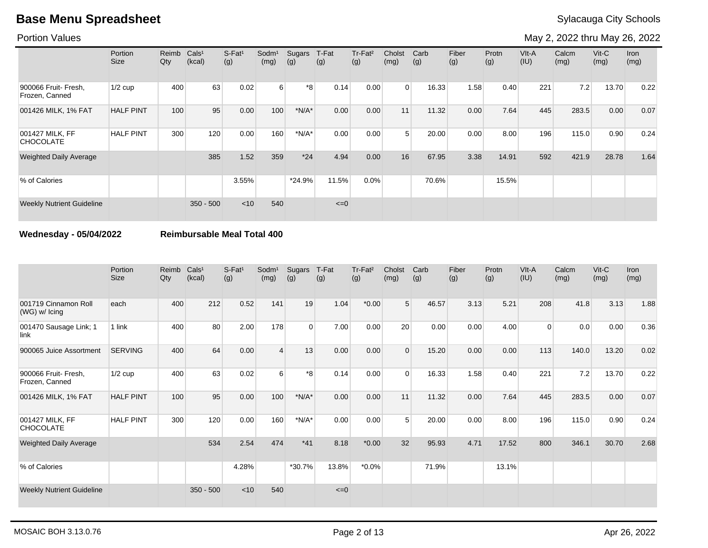Portion Values

May 2, 2022 thru May 26, 2022

|                                        | Portion<br>Size  | Reimb<br>Qty | Cals <sup>1</sup><br>(kcal) | S-Fat <sup>1</sup><br>(g) | Sodm <sup>1</sup><br>(mg) | Sugars<br>(g) | T-Fat<br>(g) | Tr-Fat <sup>2</sup><br>(g) | Cholst<br>(mg) | Carb<br>(g) | Fiber<br>(g) | Protn<br>(g) | VIt-A<br>(IU) | Calcm<br>(mg) | $V$ it-C<br>(mg) | <b>Iron</b><br>(mg) |
|----------------------------------------|------------------|--------------|-----------------------------|---------------------------|---------------------------|---------------|--------------|----------------------------|----------------|-------------|--------------|--------------|---------------|---------------|------------------|---------------------|
| 900066 Fruit- Fresh,<br>Frozen, Canned | $1/2$ cup        | 400          | 63                          | 0.02                      | $6 \overline{6}$          | *8            | 0.14         | 0.00                       | $\Omega$       | 16.33       | 1.58         | 0.40         | 221           | 7.2           | 13.70            | 0.22                |
| 001426 MILK, 1% FAT                    | <b>HALF PINT</b> | 100          | 95                          | 0.00                      | 100                       | $*N/A*$       | 0.00         | 0.00                       | 11             | 11.32       | 0.00         | 7.64         | 445           | 283.5         | 0.00             | 0.07                |
| 001427 MILK, FF<br><b>CHOCOLATE</b>    | <b>HALF PINT</b> | 300          | 120                         | 0.00                      | 160                       | $*N/A*$       | 0.00         | 0.00                       | 5              | 20.00       | 0.00         | 8.00         | 196           | 115.0         | 0.90             | 0.24                |
| <b>Weighted Daily Average</b>          |                  |              | 385                         | 1.52                      | 359                       | $*24$         | 4.94         | 0.00                       | 16             | 67.95       | 3.38         | 14.91        | 592           | 421.9         | 28.78            | 1.64                |
| % of Calories                          |                  |              |                             | 3.55%                     |                           | $*24.9%$      | 11.5%        | 0.0%                       |                | 70.6%       |              | 15.5%        |               |               |                  |                     |
| <b>Weekly Nutrient Guideline</b>       |                  |              | $350 - 500$                 | $<$ 10                    | 540                       |               | $\leq=0$     |                            |                |             |              |              |               |               |                  |                     |

### **Wednesday - 05/04/2022 Reimbursable Meal Total 400**

|                                         | Portion<br>Size  | Reimb<br>Qty | Cals <sup>1</sup><br>(kcal) | $S-Fat1$<br>(g) | Sodm <sup>1</sup><br>(mg) | Sugars<br>(g) | T-Fat<br>(g) | Tr-Fat <sup>2</sup><br>(g) | Cholst<br>(mg) | Carb<br>(g) | Fiber<br>(g) | Protn<br>(g) | VIt-A<br>(IU) | Calcm<br>(mg) | $V$ it- $C$<br>(mg) | Iron<br>(mg) |
|-----------------------------------------|------------------|--------------|-----------------------------|-----------------|---------------------------|---------------|--------------|----------------------------|----------------|-------------|--------------|--------------|---------------|---------------|---------------------|--------------|
| 001719 Cinnamon Roll<br>$(WG)$ w/ Icing | each             | 400          | 212                         | 0.52            | 141                       | 19            | 1.04         | $*0.00$                    | 5              | 46.57       | 3.13         | 5.21         | 208           | 41.8          | 3.13                | 1.88         |
| 001470 Sausage Link; 1<br>link          | 1 link           | 400          | 80                          | 2.00            | 178                       | $\Omega$      | 7.00         | 0.00                       | 20             | 0.00        | 0.00         | 4.00         | $\Omega$      | 0.0           | 0.00                | 0.36         |
| 900065 Juice Assortment                 | <b>SERVING</b>   | 400          | 64                          | 0.00            | 4                         | 13            | 0.00         | 0.00                       | $\Omega$       | 15.20       | 0.00         | 0.00         | 113           | 140.0         | 13.20               | 0.02         |
| 900066 Fruit- Fresh,<br>Frozen, Canned  | $1/2$ cup        | 400          | 63                          | 0.02            | 6                         | $*8$          | 0.14         | 0.00                       | $\Omega$       | 16.33       | 1.58         | 0.40         | 221           | 7.2           | 13.70               | 0.22         |
| 001426 MILK, 1% FAT                     | <b>HALF PINT</b> | 100          | 95                          | 0.00            | 100                       | $*N/A*$       | 0.00         | 0.00                       | 11             | 11.32       | 0.00         | 7.64         | 445           | 283.5         | 0.00                | 0.07         |
| 001427 MILK, FF<br><b>CHOCOLATE</b>     | <b>HALF PINT</b> | 300          | 120                         | 0.00            | 160                       | $*N/A*$       | 0.00         | 0.00                       | 5              | 20.00       | 0.00         | 8.00         | 196           | 115.0         | 0.90                | 0.24         |
| Weighted Daily Average                  |                  |              | 534                         | 2.54            | 474                       | $*41$         | 8.18         | $*0.00$                    | 32             | 95.93       | 4.71         | 17.52        | 800           | 346.1         | 30.70               | 2.68         |
| % of Calories                           |                  |              |                             | 4.28%           |                           | $*30.7%$      | 13.8%        | $*0.0\%$                   |                | 71.9%       |              | 13.1%        |               |               |                     |              |
| <b>Weekly Nutrient Guideline</b>        |                  |              | $350 - 500$                 | < 10            | 540                       |               | $\leq=0$     |                            |                |             |              |              |               |               |                     |              |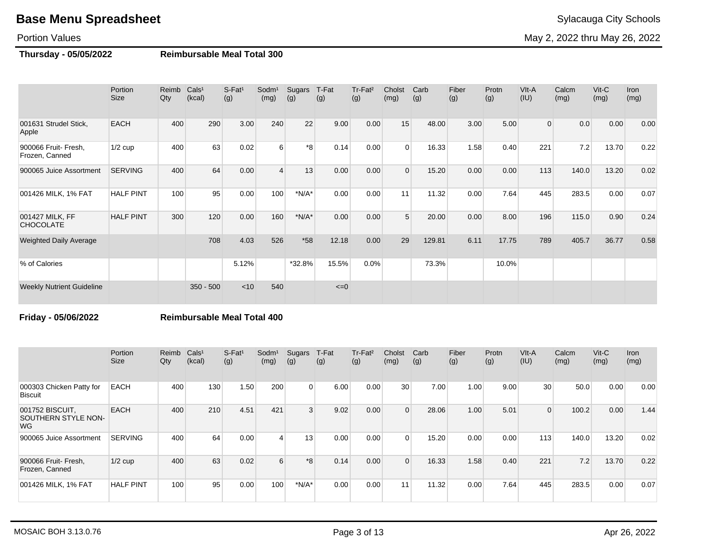#### Portion Values

May 2, 2022 thru May 26, 2022

## **Thursday - 05/05/2022 Reimbursable Meal Total 300**

|                                        | Portion<br><b>Size</b> | Reimb<br>Qty | Cals <sup>1</sup><br>(kcal) | $S-Fat1$<br>(g) | Sodm <sup>1</sup><br>(mg) | Sugars<br>(g) | T-Fat<br>(g) | Tr-Fat <sup>2</sup><br>(g) | Cholst<br>(mg) | Carb<br>(g) | Fiber<br>(g) | Protn<br>(g) | VIt-A<br>(IU)  | Calcm<br>(mg) | Vit-C<br>(mg) | Iron<br>(mg) |
|----------------------------------------|------------------------|--------------|-----------------------------|-----------------|---------------------------|---------------|--------------|----------------------------|----------------|-------------|--------------|--------------|----------------|---------------|---------------|--------------|
| 001631 Strudel Stick,<br>Apple         | <b>EACH</b>            | 400          | 290                         | 3.00            | 240                       | 22            | 9.00         | 0.00                       | 15             | 48.00       | 3.00         | 5.00         | $\overline{0}$ | 0.0           | 0.00          | 0.00         |
| 900066 Fruit- Fresh,<br>Frozen, Canned | $1/2$ cup              | 400          | 63                          | 0.02            | 6                         | *8            | 0.14         | 0.00                       | $\Omega$       | 16.33       | 1.58         | 0.40         | 221            | 7.2           | 13.70         | 0.22         |
| 900065 Juice Assortment                | <b>SERVING</b>         | 400          | 64                          | 0.00            | 4                         | 13            | 0.00         | 0.00                       | $\Omega$       | 15.20       | 0.00         | 0.00         | 113            | 140.0         | 13.20         | 0.02         |
| 001426 MILK, 1% FAT                    | <b>HALF PINT</b>       | 100          | 95                          | 0.00            | 100                       | $*N/A*$       | 0.00         | 0.00                       | 11             | 11.32       | 0.00         | 7.64         | 445            | 283.5         | 0.00          | 0.07         |
| 001427 MILK, FF<br><b>CHOCOLATE</b>    | <b>HALF PINT</b>       | 300          | 120                         | 0.00            | 160                       | $*N/A*$       | 0.00         | 0.00                       | 5              | 20.00       | 0.00         | 8.00         | 196            | 115.0         | 0.90          | 0.24         |
| <b>Weighted Daily Average</b>          |                        |              | 708                         | 4.03            | 526                       | $*58$         | 12.18        | 0.00                       | 29             | 129.81      | 6.11         | 17.75        | 789            | 405.7         | 36.77         | 0.58         |
| % of Calories                          |                        |              |                             | 5.12%           |                           | *32.8%        | 15.5%        | 0.0%                       |                | 73.3%       |              | 10.0%        |                |               |               |              |
| <b>Weekly Nutrient Guideline</b>       |                        |              | $350 - 500$                 | < 10            | 540                       |               | $\leq=0$     |                            |                |             |              |              |                |               |               |              |

#### **Friday - 05/06/2022 Reimbursable Meal Total 400**

|                                                      | Portion<br>Size  | Reimb Cals <sup>1</sup><br>Qty | (kcal) | $S$ -Fat <sup>1</sup><br>(g) | Sodm <sup>1</sup><br>(mg) | Sugars<br>(g)  | T-Fat<br>(g) | Tr-Fat <sup>2</sup><br>(g) | Cholst<br>(mg)  | Carb<br>(g) | Fiber<br>(g) | Protn<br>(g) | VIt-A<br>(IU) | Calcm<br>(mg) | $V$ it-C<br>(mg) | <b>Iron</b><br>(mg) |
|------------------------------------------------------|------------------|--------------------------------|--------|------------------------------|---------------------------|----------------|--------------|----------------------------|-----------------|-------------|--------------|--------------|---------------|---------------|------------------|---------------------|
| 000303 Chicken Patty for<br><b>Biscuit</b>           | <b>EACH</b>      | 400                            | 130    | 1.50                         | 200                       | $\Omega$       | 6.00         | 0.00                       | 30 <sup>1</sup> | 7.00        | 1.00         | 9.00         | 30            | 50.0          | 0.00             | 0.00                |
| 001752 BISCUIT,<br><b>SOUTHERN STYLE NON-</b><br>WG. | <b>EACH</b>      | 400                            | 210    | 4.51                         | 421                       | $\overline{3}$ | 9.02         | 0.00                       | $\Omega$        | 28.06       | 1.00         | 5.01         | $\Omega$      | 100.2         | 0.00             | 1.44                |
| 900065 Juice Assortment                              | <b>SERVING</b>   | 400                            | 64     | 0.00                         | $\overline{4}$            | 13             | 0.00         | 0.00                       | $\Omega$        | 15.20       | 0.00         | 0.00         | 113           | 140.0         | 13.20            | 0.02                |
| 900066 Fruit- Fresh,<br>Frozen, Canned               | $1/2$ cup        | 400                            | 63     | 0.02                         | $6 \overline{6}$          | $*8$           | 0.14         | 0.00                       | $\Omega$        | 16.33       | 1.58         | 0.40         | 221           | 7.2           | 13.70            | 0.22                |
| 001426 MILK, 1% FAT                                  | <b>HALF PINT</b> | 100                            | 95     | 0.00                         | 100                       | $*N/A*$        | 0.00         | 0.00                       | 11 <sub>1</sub> | 11.32       | 0.00         | 7.64         | 445           | 283.5         | 0.00             | 0.07                |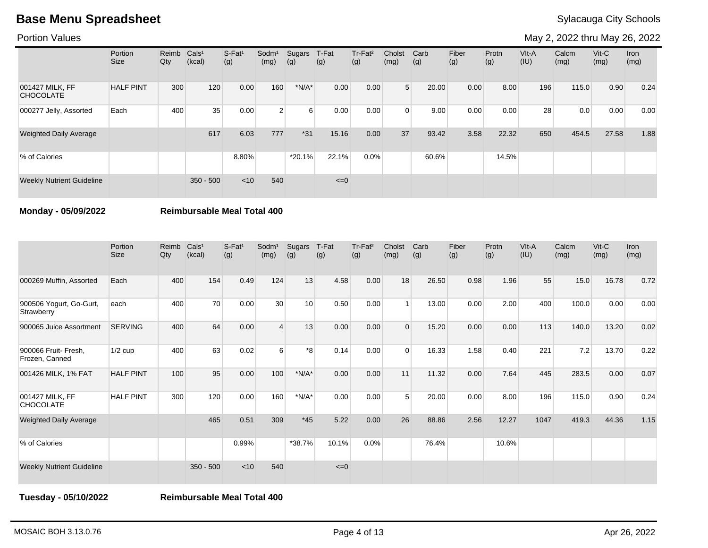Portion Values

May 2, 2022 thru May 26, 2022

|                                     | Portion<br>Size  | Reimb<br>Qty | Cals <sup>1</sup><br>(kcal) | $S-Fat1$<br>(g) | Sodm <sup>1</sup><br>(mg) | Sugars<br>(g)  | T-Fat<br>(g) | Tr-Fat <sup>2</sup><br>(g) | Cholst<br>(mg) | Carb<br>(g) | Fiber<br>(g) | Protn<br>(g) | $V$ lt-A<br>(IU) | Calcm<br>(mg) | $V$ it-C<br>(mg) | <b>Iron</b><br>(mg) |
|-------------------------------------|------------------|--------------|-----------------------------|-----------------|---------------------------|----------------|--------------|----------------------------|----------------|-------------|--------------|--------------|------------------|---------------|------------------|---------------------|
| 001427 MILK, FF<br><b>CHOCOLATE</b> | <b>HALF PINT</b> | 300          | 120                         | 0.00            | 160                       | $*N/A*$        | 0.00         | 0.00                       | 5 <sup>1</sup> | 20.00       | 0.00         | 8.00         | 196              | 115.0         | 0.90             | 0.24                |
| 000277 Jelly, Assorted              | Each             | 400          | 35                          | 0.00            | 2 <sup>1</sup>            | 6 <sup>1</sup> | 0.00         | 0.00                       | $\Omega$       | 9.00        | 0.00         | 0.00         | 28               | 0.0           | 0.00             | 0.00                |
| <b>Weighted Daily Average</b>       |                  |              | 617                         | 6.03            | 777                       | $*31$          | 15.16        | 0.00                       | 37             | 93.42       | 3.58         | 22.32        | 650              | 454.5         | 27.58            | 1.88                |
| % of Calories                       |                  |              |                             | 8.80%           |                           | $*20.1%$       | 22.1%        | 0.0%                       |                | 60.6%       |              | 14.5%        |                  |               |                  |                     |
| <b>Weekly Nutrient Guideline</b>    |                  |              | $350 - 500$                 | $<$ 10          | 540                       |                | $\leq=0$     |                            |                |             |              |              |                  |               |                  |                     |

**Monday - 05/09/2022 Reimbursable Meal Total 400**

|                                        | Portion<br><b>Size</b> | Reimb<br>Qty | Cals <sup>1</sup><br>(kcal) | $S-Fat1$<br>(g) | Sodm <sup>1</sup><br>(mg) | Sugars<br>(g) | T-Fat<br>(g) | Tr-Fat <sup>2</sup><br>(g) | Cholst<br>(mg) | Carb<br>(g) | Fiber<br>(g) | Protn<br>(g) | VIt-A<br>(IU) | Calcm<br>(mg) | $V$ it-C<br>(mg) | <b>Iron</b><br>(mg) |
|----------------------------------------|------------------------|--------------|-----------------------------|-----------------|---------------------------|---------------|--------------|----------------------------|----------------|-------------|--------------|--------------|---------------|---------------|------------------|---------------------|
| 000269 Muffin, Assorted                | Each                   | 400          | 154                         | 0.49            | 124                       | 13            | 4.58         | 0.00                       | 18             | 26.50       | 0.98         | 1.96         | 55            | 15.0          | 16.78            | 0.72                |
| 900506 Yogurt, Go-Gurt,<br>Strawberry  | each                   | 400          | 70                          | 0.00            | 30                        | 10            | 0.50         | 0.00                       |                | 13.00       | 0.00         | 2.00         | 400           | 100.0         | 0.00             | 0.00                |
| 900065 Juice Assortment                | <b>SERVING</b>         | 400          | 64                          | 0.00            | 4                         | 13            | 0.00         | 0.00                       | $\Omega$       | 15.20       | 0.00         | 0.00         | 113           | 140.0         | 13.20            | 0.02                |
| 900066 Fruit- Fresh,<br>Frozen, Canned | $1/2$ cup              | 400          | 63                          | 0.02            | 6                         | *8            | 0.14         | 0.00                       | $\Omega$       | 16.33       | 1.58         | 0.40         | 221           | 7.2           | 13.70            | 0.22                |
| 001426 MILK, 1% FAT                    | <b>HALF PINT</b>       | 100          | 95                          | 0.00            | 100                       | $*N/A*$       | 0.00         | 0.00                       | 11             | 11.32       | 0.00         | 7.64         | 445           | 283.5         | 0.00             | 0.07                |
| 001427 MILK, FF<br><b>CHOCOLATE</b>    | <b>HALF PINT</b>       | 300          | 120                         | 0.00            | 160                       | $*N/A*$       | 0.00         | 0.00                       | 5              | 20.00       | 0.00         | 8.00         | 196           | 115.0         | 0.90             | 0.24                |
| <b>Weighted Daily Average</b>          |                        |              | 465                         | 0.51            | 309                       | $*45$         | 5.22         | 0.00                       | 26             | 88.86       | 2.56         | 12.27        | 1047          | 419.3         | 44.36            | 1.15                |
| % of Calories                          |                        |              |                             | 0.99%           |                           | *38.7%        | 10.1%        | 0.0%                       |                | 76.4%       |              | 10.6%        |               |               |                  |                     |
| <b>Weekly Nutrient Guideline</b>       |                        |              | $350 - 500$                 | $<$ 10          | 540                       |               | $\leq=0$     |                            |                |             |              |              |               |               |                  |                     |

**Tuesday - 05/10/2022 Reimbursable Meal Total 400**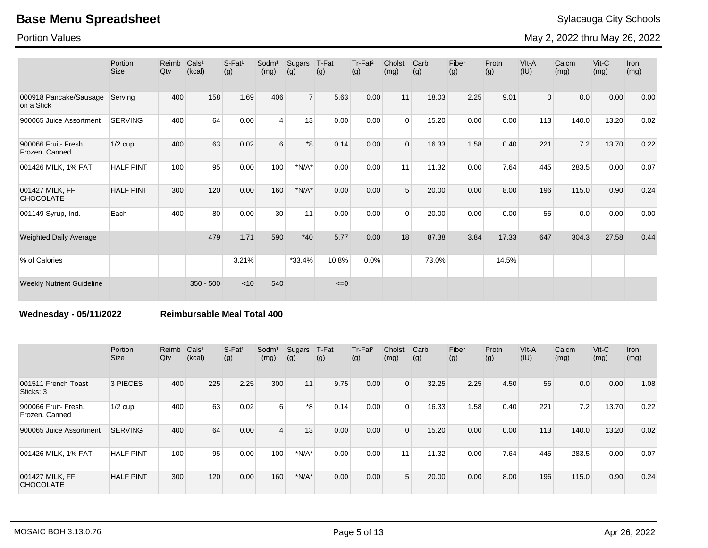Portion Values

May 2, 2022 thru May 26, 2022

|                                        | Portion<br><b>Size</b> | Reimb<br>Qty | Cals <sup>1</sup><br>(kcal) | $S-Fat1$<br>(g) | Sodm <sup>1</sup><br>(mg) | Sugars<br>(g)  | T-Fat<br>(g) | Tr-Fat <sup>2</sup><br>(g) | Cholst<br>(mg) | Carb<br>(g) | Fiber<br>(g) | Protn<br>(g) | VIt-A<br>(IU)  | Calcm<br>(mg) | $V$ it-C<br>(mg) | <b>Iron</b><br>(mg) |
|----------------------------------------|------------------------|--------------|-----------------------------|-----------------|---------------------------|----------------|--------------|----------------------------|----------------|-------------|--------------|--------------|----------------|---------------|------------------|---------------------|
| 000918 Pancake/Sausage<br>on a Stick   | Serving                | 400          | 158                         | 1.69            | 406                       | 7 <sup>1</sup> | 5.63         | 0.00                       | 11             | 18.03       | 2.25         | 9.01         | $\overline{0}$ | 0.0           | 0.00             | 0.00                |
| 900065 Juice Assortment                | <b>SERVING</b>         | 400          | 64                          | 0.00            | $\overline{4}$            | 13             | 0.00         | 0.00                       | $\Omega$       | 15.20       | 0.00         | 0.00         | 113            | 140.0         | 13.20            | 0.02                |
| 900066 Fruit- Fresh,<br>Frozen, Canned | $1/2$ cup              | 400          | 63                          | 0.02            | 6                         | $*8$           | 0.14         | 0.00                       | $\Omega$       | 16.33       | 1.58         | 0.40         | 221            | 7.2           | 13.70            | 0.22                |
| 001426 MILK, 1% FAT                    | <b>HALF PINT</b>       | 100          | 95                          | 0.00            | 100                       | $*N/A*$        | 0.00         | 0.00                       | 11             | 11.32       | 0.00         | 7.64         | 445            | 283.5         | 0.00             | 0.07                |
| 001427 MILK, FF<br><b>CHOCOLATE</b>    | <b>HALF PINT</b>       | 300          | 120                         | 0.00            | 160                       | $*N/A*$        | 0.00         | 0.00                       | 5              | 20.00       | 0.00         | 8.00         | 196            | 115.0         | 0.90             | 0.24                |
| 001149 Syrup, Ind.                     | Each                   | 400          | 80                          | 0.00            | 30                        | 11             | 0.00         | 0.00                       | $\Omega$       | 20.00       | 0.00         | 0.00         | 55             | 0.0           | 0.00             | 0.00                |
| Weighted Daily Average                 |                        |              | 479                         | 1.71            | 590                       | $*40$          | 5.77         | 0.00                       | 18             | 87.38       | 3.84         | 17.33        | 647            | 304.3         | 27.58            | 0.44                |
| % of Calories                          |                        |              |                             | 3.21%           |                           | $*33.4%$       | 10.8%        | 0.0%                       |                | 73.0%       |              | 14.5%        |                |               |                  |                     |
| <b>Weekly Nutrient Guideline</b>       |                        |              | $350 - 500$                 | $<$ 10          | 540                       |                | $\leq=0$     |                            |                |             |              |              |                |               |                  |                     |

**Wednesday - 05/11/2022 Reimbursable Meal Total 400**

|                                        | Portion<br>Size  | Reimb<br>Qty | Cals <sup>1</sup><br>(kcal) | $S$ -Fat <sup>1</sup><br>(g) | Sodm <sup>1</sup><br>(mg) | Sugars<br>(g) | T-Fat<br>(g) | Tr-Fat <sup>2</sup><br>(g) | Cholst<br>(mg)  | Carb<br>(g) | Fiber<br>(g) | Protn<br>(g) | VIt-A<br>(IU) | Calcm<br>(mg) | $V$ it-C<br>(mg) | <b>Iron</b><br>(mg) |
|----------------------------------------|------------------|--------------|-----------------------------|------------------------------|---------------------------|---------------|--------------|----------------------------|-----------------|-------------|--------------|--------------|---------------|---------------|------------------|---------------------|
| 001511 French Toast<br>Sticks: 3       | 3 PIECES         | 400          | 225                         | 2.25                         | 300                       | 11            | 9.75         | 0.00                       | $\Omega$        | 32.25       | 2.25         | 4.50         | 56            | 0.0           | 0.00             | 1.08                |
| 900066 Fruit- Fresh,<br>Frozen, Canned | $1/2$ cup        | 400          | 63                          | 0.02                         | $6 \overline{6}$          | *8            | 0.14         | 0.00                       | $\Omega$        | 16.33       | 1.58         | 0.40         | 221           | 7.2           | 13.70            | 0.22                |
| 900065 Juice Assortment                | <b>SERVING</b>   | 400          | 64                          | 0.00                         | $\overline{4}$            | 13            | 0.00         | 0.00                       | $\Omega$        | 15.20       | 0.00         | 0.00         | 113           | 140.0         | 13.20            | 0.02                |
| 001426 MILK, 1% FAT                    | <b>HALF PINT</b> | 100          | 95                          | 0.00                         | 100                       | $*N/A*$       | 0.00         | 0.00                       | 11 <sub>1</sub> | 11.32       | 0.00         | 7.64         | 445           | 283.5         | 0.00             | 0.07                |
| 001427 MILK, FF<br><b>CHOCOLATE</b>    | <b>HALF PINT</b> | 300          | 120                         | 0.00                         | 160                       | $*N/A*$       | 0.00         | 0.00                       | 5               | 20.00       | 0.00         | 8.00         | 196           | 115.0         | 0.90             | 0.24                |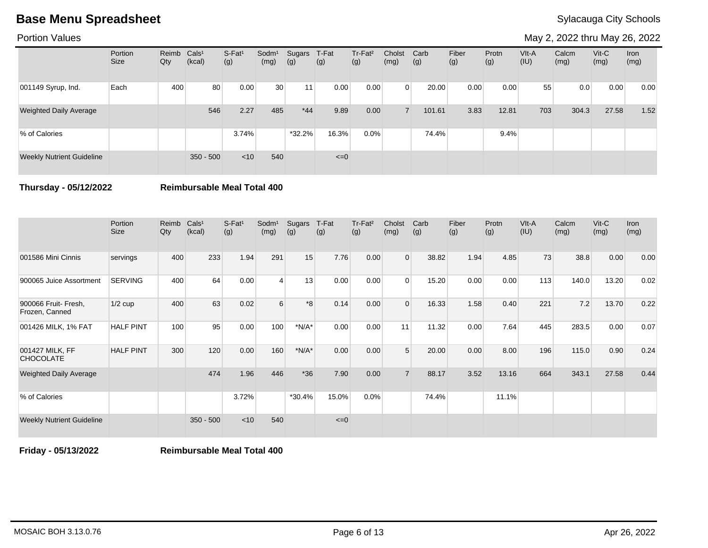Portion Values

May 2, 2022 thru May 26, 2022

|                                  | Portion<br><b>Size</b> | Reimb<br>Qty | Cals <sup>1</sup><br>(kcal) | S-Fat <sup>1</sup><br>(g) | Sodm <sup>1</sup><br>(mg) | Sugars<br>(g) | T-Fat<br>(g) | Tr-Fat <sup>2</sup><br>(g) | Cholst<br>(mg) | Carb<br>(g) | Fiber<br>(g) | Protn<br>(g) | $V$ lt-A<br>(IU) | Calcm<br>(mg) | $V$ it-C<br>(mg) | Iron<br>(mg) |
|----------------------------------|------------------------|--------------|-----------------------------|---------------------------|---------------------------|---------------|--------------|----------------------------|----------------|-------------|--------------|--------------|------------------|---------------|------------------|--------------|
| 001149 Syrup, Ind.               | Each                   | 400          | 80                          | 0.00                      | 30                        | 11            | 0.00         | 0.00                       | $\Omega$       | 20.00       | 0.00         | 0.00         | 55               | 0.0           | 0.00             | 0.00         |
| <b>Weighted Daily Average</b>    |                        |              | 546                         | 2.27                      | 485                       | $*44$         | 9.89         | 0.00                       |                | 101.61      | 3.83         | 12.81        | 703              | 304.3         | 27.58            | 1.52         |
| % of Calories                    |                        |              |                             | 3.74%                     |                           | $*32.2%$      | 16.3%        | $0.0\%$                    |                | 74.4%       |              | 9.4%         |                  |               |                  |              |
| <b>Weekly Nutrient Guideline</b> |                        |              | $350 - 500$                 | $<$ 10                    | 540                       |               | $\leq=0$     |                            |                |             |              |              |                  |               |                  |              |

**Thursday - 05/12/2022 Reimbursable Meal Total 400**

|                                        | Portion<br><b>Size</b> | Reimb<br>Qty | Cals <sup>1</sup><br>(kcal) | $S-Fat1$<br>(g) | Sodm <sup>1</sup><br>(mg) | Sugars<br>(g) | T-Fat<br>(g) | Tr-Fat <sup>2</sup><br>(g) | Cholst<br>(mg) | Carb<br>(g) | Fiber<br>(g) | Protn<br>(g) | VIt-A<br>(IU) | Calcm<br>(mg) | Vit-C<br>(mg) | Iron<br>(mg) |
|----------------------------------------|------------------------|--------------|-----------------------------|-----------------|---------------------------|---------------|--------------|----------------------------|----------------|-------------|--------------|--------------|---------------|---------------|---------------|--------------|
| 001586 Mini Cinnis                     | servings               | 400          | 233                         | 1.94            | 291                       | 15            | 7.76         | 0.00                       | $\overline{0}$ | 38.82       | 1.94         | 4.85         | 73            | 38.8          | 0.00          | 0.00         |
| 900065 Juice Assortment                | <b>SERVING</b>         | 400          | 64                          | 0.00            | 4                         | 13            | 0.00         | 0.00                       | $\Omega$       | 15.20       | 0.00         | 0.00         | 113           | 140.0         | 13.20         | 0.02         |
| 900066 Fruit- Fresh,<br>Frozen, Canned | $1/2$ cup              | 400          | 63                          | 0.02            | 6                         | *8            | 0.14         | 0.00                       | $\Omega$       | 16.33       | 1.58         | 0.40         | 221           | 7.2           | 13.70         | 0.22         |
| 001426 MILK, 1% FAT                    | <b>HALF PINT</b>       | 100          | 95                          | 0.00            | 100                       | $*N/A*$       | 0.00         | 0.00                       | 11             | 11.32       | 0.00         | 7.64         | 445           | 283.5         | 0.00          | 0.07         |
| 001427 MILK, FF<br><b>CHOCOLATE</b>    | <b>HALF PINT</b>       | 300          | 120                         | 0.00            | 160                       | $*N/A*$       | 0.00         | 0.00                       | 5              | 20.00       | 0.00         | 8.00         | 196           | 115.0         | 0.90          | 0.24         |
| <b>Weighted Daily Average</b>          |                        |              | 474                         | 1.96            | 446                       | $*36$         | 7.90         | 0.00                       | $\overline{7}$ | 88.17       | 3.52         | 13.16        | 664           | 343.1         | 27.58         | 0.44         |
| % of Calories                          |                        |              |                             | 3.72%           |                           | $*30.4%$      | 15.0%        | $0.0\%$                    |                | 74.4%       |              | 11.1%        |               |               |               |              |
| <b>Weekly Nutrient Guideline</b>       |                        |              | $350 - 500$                 | $<$ 10          | 540                       |               | $\leq=0$     |                            |                |             |              |              |               |               |               |              |

**Friday - 05/13/2022 Reimbursable Meal Total 400**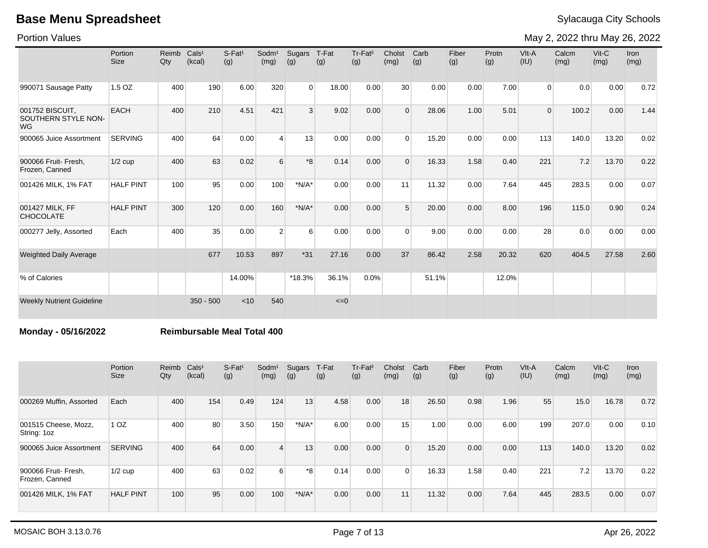Portion Values

May 2, 2022 thru May 26, 2022

|                                                     | Portion<br><b>Size</b> | Reimb<br>Qty | Cals <sup>1</sup><br>(kcal) | $S$ -Fat <sup>1</sup><br>(g) | Sodm <sup>1</sup><br>(mg) | Sugars<br>(g) | T-Fat<br>(g) | Tr-Fat <sup>2</sup><br>(g) | Cholst<br>(mg)  | Carb<br>(g) | Fiber<br>(g) | Protn<br>(g) | VIt-A<br>(IU)  | Calcm<br>(mg) | $Vit-C$<br>(mg) | <b>Iron</b><br>(mg) |
|-----------------------------------------------------|------------------------|--------------|-----------------------------|------------------------------|---------------------------|---------------|--------------|----------------------------|-----------------|-------------|--------------|--------------|----------------|---------------|-----------------|---------------------|
| 990071 Sausage Patty                                | 1.5 OZ                 | 400          | 190                         | 6.00                         | 320                       | $\Omega$      | 18.00        | 0.00                       | 30 <sup>1</sup> | 0.00        | 0.00         | 7.00         | $\overline{0}$ | 0.0           | 0.00            | 0.72                |
| 001752 BISCUIT,<br>SOUTHERN STYLE NON-<br><b>WG</b> | <b>EACH</b>            | 400          | 210                         | 4.51                         | 421                       | 3             | 9.02         | 0.00                       | $\Omega$        | 28.06       | 1.00         | 5.01         | $\Omega$       | 100.2         | 0.00            | 1.44                |
| 900065 Juice Assortment                             | <b>SERVING</b>         | 400          | 64                          | 0.00                         | $\overline{4}$            | 13            | 0.00         | 0.00                       | $\Omega$        | 15.20       | 0.00         | 0.00         | 113            | 140.0         | 13.20           | 0.02                |
| 900066 Fruit- Fresh.<br>Frozen, Canned              | $1/2$ cup              | 400          | 63                          | 0.02                         | 6                         | $8*$          | 0.14         | 0.00                       | $\Omega$        | 16.33       | 1.58         | 0.40         | 221            | 7.2           | 13.70           | 0.22                |
| 001426 MILK, 1% FAT                                 | <b>HALF PINT</b>       | 100          | 95                          | 0.00                         | 100                       | $*N/A*$       | 0.00         | 0.00                       | 11              | 11.32       | 0.00         | 7.64         | 445            | 283.5         | 0.00            | 0.07                |
| 001427 MILK, FF<br><b>CHOCOLATE</b>                 | <b>HALF PINT</b>       | 300          | 120                         | 0.00                         | 160                       | $*N/A*$       | 0.00         | 0.00                       | 5               | 20.00       | 0.00         | 8.00         | 196            | 115.0         | 0.90            | 0.24                |
| 000277 Jelly, Assorted                              | Each                   | 400          | 35                          | 0.00                         | 2                         | 6             | 0.00         | 0.00                       | $\Omega$        | 9.00        | 0.00         | 0.00         | 28             | 0.0           | 0.00            | 0.00                |
| <b>Weighted Daily Average</b>                       |                        |              | 677                         | 10.53                        | 897                       | $*31$         | 27.16        | 0.00                       | 37              | 86.42       | 2.58         | 20.32        | 620            | 404.5         | 27.58           | 2.60                |
| % of Calories                                       |                        |              |                             | 14.00%                       |                           | $*18.3%$      | 36.1%        | 0.0%                       |                 | 51.1%       |              | 12.0%        |                |               |                 |                     |
| <b>Weekly Nutrient Guideline</b>                    |                        |              | $350 - 500$                 | < 10                         | 540                       |               | $\leq=0$     |                            |                 |             |              |              |                |               |                 |                     |

### **Monday - 05/16/2022 Reimbursable Meal Total 400**

|                                        | Portion<br>Size  | Reimb<br>Qty | Cals <sup>1</sup><br>(kcal) | $S-Fat1$<br>(g) | Sodm <sup>1</sup><br>(mg) | Sugars<br>(g) | T-Fat<br>(g) | Tr-Fat <sup>2</sup><br>(g) | Cholst<br>(mg) | Carb<br>(g) | Fiber<br>(g) | Protn<br>(g) | VIt-A<br>(IU) | Calcm<br>(mg) | $V$ it-C<br>(mg) | <b>Iron</b><br>(mg) |
|----------------------------------------|------------------|--------------|-----------------------------|-----------------|---------------------------|---------------|--------------|----------------------------|----------------|-------------|--------------|--------------|---------------|---------------|------------------|---------------------|
| 000269 Muffin, Assorted                | Each             | 400          | 154                         | 0.49            | 124                       | 13            | 4.58         | 0.00                       | 18             | 26.50       | 0.98         | 1.96         | 55            | 15.0          | 16.78            | 0.72                |
| 001515 Cheese, Mozz,<br>String: 1oz    | 1 <sub>OZ</sub>  | 400          | 80                          | 3.50            | 150                       | $*N/A*$       | 6.00         | 0.00                       | 15             | 1.00        | 0.00         | 6.00         | 199           | 207.0         | 0.00             | 0.10                |
| 900065 Juice Assortment                | <b>SERVING</b>   | 400          | 64                          | 0.00            | 4                         | 13            | 0.00         | 0.00                       | $\Omega$       | 15.20       | 0.00         | 0.00         | 113           | 140.0         | 13.20            | 0.02                |
| 900066 Fruit- Fresh,<br>Frozen, Canned | $1/2$ cup        | 400          | 63                          | 0.02            | 6                         | *8            | 0.14         | 0.00                       | $\Omega$       | 16.33       | 1.58         | 0.40         | 221           | 7.2           | 13.70            | 0.22                |
| 001426 MILK, 1% FAT                    | <b>HALF PINT</b> | 100          | 95                          | 0.00            | 100                       | $*N/A*$       | 0.00         | 0.00                       | 11             | 11.32       | 0.00         | 7.64         | 445           | 283.5         | 0.00             | 0.07                |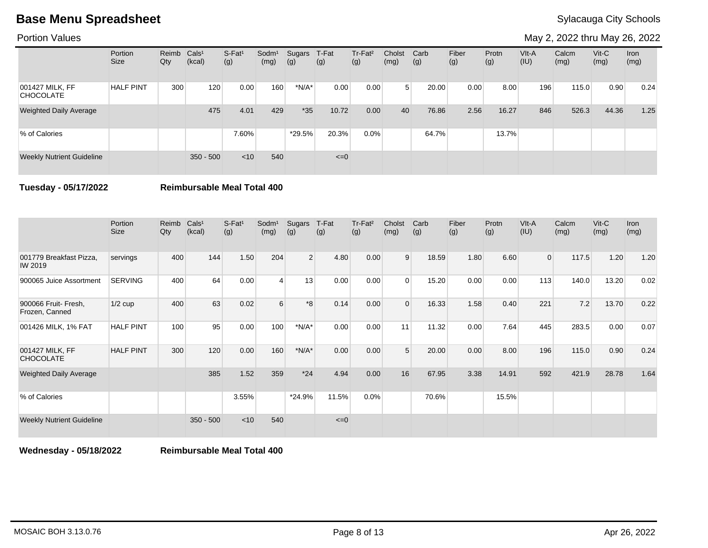Portion Values

May 2, 2022 thru May 26, 2022

|                                     | Portion<br>Size  | Reimb<br>Qty | Cals <sup>1</sup><br>(kcal) | S-Fat <sup>1</sup><br>(g) | Sodm <sup>1</sup><br>(mg) | Sugars<br>(g) | T-Fat<br>(g) | Tr-Fat <sup>2</sup><br>(g) | Cholst<br>(mg) | Carb<br>(g) | Fiber<br>(g) | Protn<br>(g) | VIt-A<br>(IU) | Calcm<br>(mg) | $V$ it-C<br>(mg) | Iron<br>(mg) |
|-------------------------------------|------------------|--------------|-----------------------------|---------------------------|---------------------------|---------------|--------------|----------------------------|----------------|-------------|--------------|--------------|---------------|---------------|------------------|--------------|
| 001427 MILK, FF<br><b>CHOCOLATE</b> | <b>HALF PINT</b> | 300          | 120                         | 0.00                      | 160                       | $*N/A*$       | 0.00         | 0.00                       | 5              | 20.00       | 0.00         | 8.00         | 196           | 115.0         | 0.90             | 0.24         |
| <b>Weighted Daily Average</b>       |                  |              | 475                         | 4.01                      | 429                       | $*35$         | 10.72        | 0.00                       | 40             | 76.86       | 2.56         | 16.27        | 846           | 526.3         | 44.36            | 1.25         |
| % of Calories                       |                  |              |                             | 7.60%                     |                           | *29.5%        | 20.3%        | 0.0%                       |                | 64.7%       |              | 13.7%        |               |               |                  |              |
| <b>Weekly Nutrient Guideline</b>    |                  |              | $350 - 500$                 | $<$ 10                    | 540                       |               | $\leq=0$     |                            |                |             |              |              |               |               |                  |              |

**Tuesday - 05/17/2022 Reimbursable Meal Total 400**

|                                           | Portion<br><b>Size</b> | Reimb<br>Qty | Cals <sup>1</sup><br>(kcal) | $S-Fat1$<br>(g) | Sodm <sup>1</sup><br>(mg) | Sugars<br>(g)  | T-Fat<br>(g) | Tr-Fat <sup>2</sup><br>(g) | Cholst<br>(mg) | Carb<br>(g) | Fiber<br>(g) | Protn<br>(g) | VIt-A<br>(IU)  | Calcm<br>(mg) | $V$ it-C<br>(mg) | <b>Iron</b><br>(mg) |
|-------------------------------------------|------------------------|--------------|-----------------------------|-----------------|---------------------------|----------------|--------------|----------------------------|----------------|-------------|--------------|--------------|----------------|---------------|------------------|---------------------|
| 001779 Breakfast Pizza,<br><b>IW 2019</b> | servings               | 400          | 144                         | 1.50            | 204                       | 2 <sup>1</sup> | 4.80         | 0.00                       | 9              | 18.59       | 1.80         | 6.60         | $\overline{0}$ | 117.5         | 1.20             | 1.20                |
| 900065 Juice Assortment                   | <b>SERVING</b>         | 400          | 64                          | 0.00            | 4                         | 13             | 0.00         | 0.00                       | $\Omega$       | 15.20       | 0.00         | 0.00         | 113            | 140.0         | 13.20            | 0.02                |
| 900066 Fruit- Fresh,<br>Frozen, Canned    | $1/2$ cup              | 400          | 63                          | 0.02            | 6                         | $*8$           | 0.14         | 0.00                       | $\Omega$       | 16.33       | 1.58         | 0.40         | 221            | 7.2           | 13.70            | 0.22                |
| 001426 MILK, 1% FAT                       | <b>HALF PINT</b>       | 100          | 95                          | 0.00            | 100                       | $*N/A*$        | 0.00         | 0.00                       | 11             | 11.32       | 0.00         | 7.64         | 445            | 283.5         | 0.00             | 0.07                |
| 001427 MILK, FF<br><b>CHOCOLATE</b>       | <b>HALF PINT</b>       | 300          | 120                         | 0.00            | 160                       | $*N/A*$        | 0.00         | 0.00                       | 5              | 20.00       | 0.00         | 8.00         | 196            | 115.0         | 0.90             | 0.24                |
| <b>Weighted Daily Average</b>             |                        |              | 385                         | 1.52            | 359                       | $*24$          | 4.94         | 0.00                       | 16             | 67.95       | 3.38         | 14.91        | 592            | 421.9         | 28.78            | 1.64                |
| % of Calories                             |                        |              |                             | 3.55%           |                           | *24.9%         | 11.5%        | 0.0%                       |                | 70.6%       |              | 15.5%        |                |               |                  |                     |
| <b>Weekly Nutrient Guideline</b>          |                        |              | $350 - 500$                 | $<$ 10          | 540                       |                | $\leq=0$     |                            |                |             |              |              |                |               |                  |                     |

**Wednesday - 05/18/2022 Reimbursable Meal Total 400**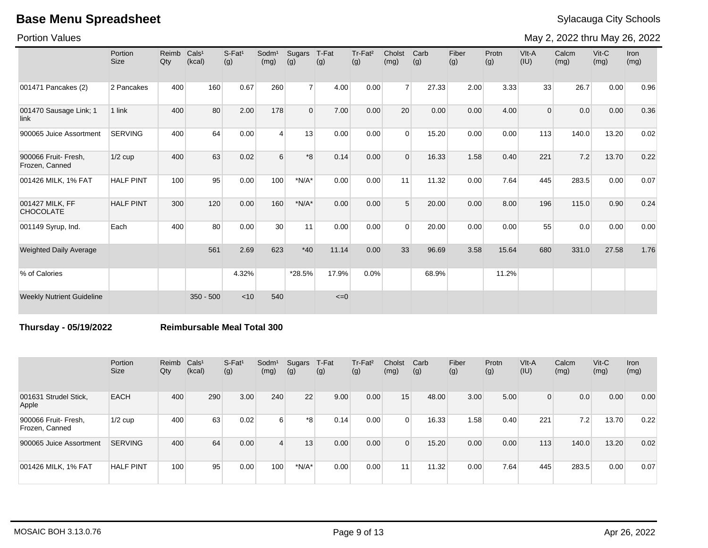Portion Values

May 2, 2022 thru May 26, 2022

|                                        | Portion<br><b>Size</b> | Reimb<br>Qty | Cals <sup>1</sup><br>(kcal) | $S-Fat1$<br>(g) | Sodm <sup>1</sup><br>(mg) | Sugars<br>(g)  | T-Fat<br>(g) | Tr-Fat <sup>2</sup><br>(g) | Cholst<br>(mg) | Carb<br>(g) | Fiber<br>(g) | Protn<br>(g) | VIt-A<br>(IU) | Calcm<br>(mg) | $V$ it-C<br>(mg) | Iron<br>(mg) |
|----------------------------------------|------------------------|--------------|-----------------------------|-----------------|---------------------------|----------------|--------------|----------------------------|----------------|-------------|--------------|--------------|---------------|---------------|------------------|--------------|
| 001471 Pancakes (2)                    | 2 Pancakes             | 400          | 160                         | 0.67            | 260                       | $\overline{7}$ | 4.00         | 0.00                       | $\overline{7}$ | 27.33       | 2.00         | 3.33         | 33            | 26.7          | 0.00             | 0.96         |
| 001470 Sausage Link; 1<br>link         | 1 link                 | 400          | 80                          | 2.00            | 178                       | $\mathbf 0$    | 7.00         | 0.00                       | 20             | 0.00        | 0.00         | 4.00         | $\mathbf{0}$  | 0.0           | 0.00             | 0.36         |
| 900065 Juice Assortment                | <b>SERVING</b>         | 400          | 64                          | 0.00            | $\overline{\mathbf{A}}$   | 13             | 0.00         | 0.00                       | $\Omega$       | 15.20       | 0.00         | 0.00         | 113           | 140.0         | 13.20            | 0.02         |
| 900066 Fruit- Fresh,<br>Frozen, Canned | $1/2$ cup              | 400          | 63                          | 0.02            | 6                         | $*8$           | 0.14         | 0.00                       | $\Omega$       | 16.33       | 1.58         | 0.40         | 221           | 7.2           | 13.70            | 0.22         |
| 001426 MILK, 1% FAT                    | <b>HALF PINT</b>       | 100          | 95                          | 0.00            | 100                       | $*N/A*$        | 0.00         | 0.00                       | 11             | 11.32       | 0.00         | 7.64         | 445           | 283.5         | 0.00             | 0.07         |
| 001427 MILK, FF<br><b>CHOCOLATE</b>    | <b>HALF PINT</b>       | 300          | 120                         | 0.00            | 160                       | $*N/A*$        | 0.00         | 0.00                       | 5 <sup>1</sup> | 20.00       | 0.00         | 8.00         | 196           | 115.0         | 0.90             | 0.24         |
| 001149 Syrup, Ind.                     | Each                   | 400          | 80                          | 0.00            | 30                        | 11             | 0.00         | 0.00                       | $\Omega$       | 20.00       | 0.00         | 0.00         | 55            | 0.0           | 0.00             | 0.00         |
| <b>Weighted Daily Average</b>          |                        |              | 561                         | 2.69            | 623                       | $*40$          | 11.14        | 0.00                       | 33             | 96.69       | 3.58         | 15.64        | 680           | 331.0         | 27.58            | 1.76         |
| % of Calories                          |                        |              |                             | 4.32%           |                           | *28.5%         | 17.9%        | 0.0%                       |                | 68.9%       |              | 11.2%        |               |               |                  |              |
| <b>Weekly Nutrient Guideline</b>       |                        |              | $350 - 500$                 | < 10            | 540                       |                | $\leq=0$     |                            |                |             |              |              |               |               |                  |              |

**Thursday - 05/19/2022 Reimbursable Meal Total 300**

|                                        | Portion<br><b>Size</b> | Reimb<br>Qty | Cals <sup>1</sup><br>(kcal) | $S$ -Fat <sup>1</sup><br>(g) | Sodm <sup>1</sup><br>(mg) | Sugars<br>(g) | T-Fat<br>(g) | Tr-Fat <sup>2</sup><br>(g) | Cholst<br>(mg)  | Carb<br>(g) | Fiber<br>(g) | Protn<br>(g) | VIt-A<br>(IU) | Calcm<br>(mg) | $V$ it-C<br>(mg) | <b>Iron</b><br>(mg) |
|----------------------------------------|------------------------|--------------|-----------------------------|------------------------------|---------------------------|---------------|--------------|----------------------------|-----------------|-------------|--------------|--------------|---------------|---------------|------------------|---------------------|
| 001631 Strudel Stick,<br>Apple         | <b>EACH</b>            | 400          | 290                         | 3.00                         | 240                       | 22            | 9.00         | 0.00                       | 15              | 48.00       | 3.00         | 5.00         | 0             | 0.0           | 0.00             | 0.00                |
| 900066 Fruit- Fresh,<br>Frozen, Canned | $1/2$ cup              | 400          | 63                          | 0.02                         | 6 <sup>1</sup>            | *8            | 0.14         | 0.00                       |                 | 16.33       | 1.58         | 0.40         | 221           | 7.2           | 13.70            | 0.22                |
| 900065 Juice Assortment                | <b>SERVING</b>         | 400          | 64                          | 0.00                         | $\overline{4}$            | 13            | 0.00         | 0.00                       |                 | 15.20       | 0.00         | 0.00         | 113           | 140.0         | 13.20            | 0.02                |
| 001426 MILK, 1% FAT                    | <b>HALF PINT</b>       | 100          | 95                          | 0.00                         | 100                       | $*N/A*$       | 0.00         | 0.00                       | 11 <sub>1</sub> | 11.32       | 0.00         | 7.64         | 445           | 283.5         | 0.00             | 0.07                |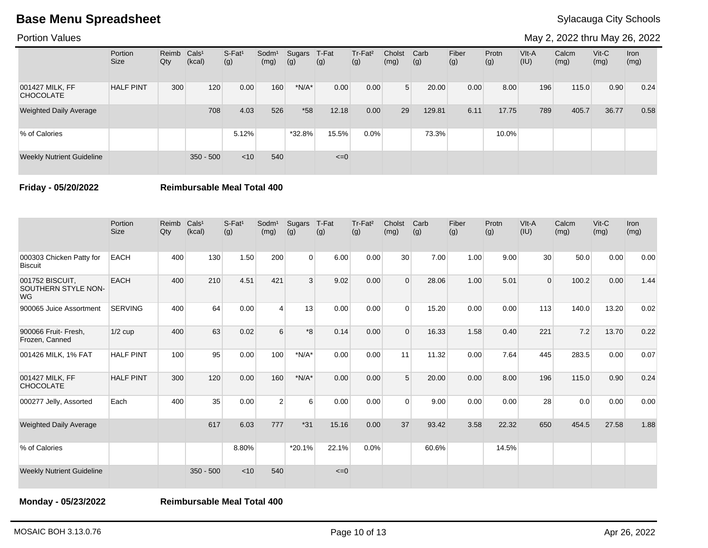Portion Values

May 2, 2022 thru May 26, 2022

|                                     | Portion<br><b>Size</b> | Reimb Cals <sup>1</sup><br>Qty | (kcal)      | $S-Fat1$<br>(g) | Sodm <sup>1</sup><br>(mg) | Sugars<br>(g) | T-Fat<br>(g) | Tr-Fat <sup>2</sup><br>(g) | Cholst<br>(mg) | Carb<br>(g) | Fiber<br>(g) | Protn<br>(g) | VIt-A<br>(IU) | Calcm<br>(mg) | $V$ it-C<br>(mg) | Iron<br>(mg) |
|-------------------------------------|------------------------|--------------------------------|-------------|-----------------|---------------------------|---------------|--------------|----------------------------|----------------|-------------|--------------|--------------|---------------|---------------|------------------|--------------|
| 001427 MILK, FF<br><b>CHOCOLATE</b> | <b>HALF PINT</b>       | 300                            | 120         | 0.00            | 160                       | $*N/A*$       | 0.00         | 0.00                       | 5 <sup>1</sup> | 20.00       | 0.00         | 8.00         | 196           | 115.0         | 0.90             | 0.24         |
| <b>Weighted Daily Average</b>       |                        |                                | 708         | 4.03            | 526                       | $*58$         | 12.18        | 0.00                       | 29             | 129.81      | 6.11         | 17.75        | 789           | 405.7         | 36.77            | 0.58         |
| % of Calories                       |                        |                                |             | 5.12%           |                           | *32.8%        | 15.5%        | $0.0\%$                    |                | 73.3%       |              | 10.0%        |               |               |                  |              |
| <b>Weekly Nutrient Guideline</b>    |                        |                                | $350 - 500$ | $<$ 10          | 540                       |               | $\leq=0$     |                            |                |             |              |              |               |               |                  |              |

**Friday - 05/20/2022 Reimbursable Meal Total 400**

|                                                     | Portion<br>Size  | Reimb<br>$Q$ ty | Cals <sup>1</sup><br>(kcal) | $S-Fat1$<br>(g) | Sodm <sup>1</sup><br>(mg) | Sugars<br>(g)  | T-Fat<br>(g) | Tr-Fat <sup>2</sup><br>(g) | Cholst<br>(mg) | Carb<br>(g) | Fiber<br>(g) | Protn<br>(g) | VIt-A<br>(IU)   | Calcm<br>(mg) | Vit-C<br>(mg) | <b>Iron</b><br>(mg) |
|-----------------------------------------------------|------------------|-----------------|-----------------------------|-----------------|---------------------------|----------------|--------------|----------------------------|----------------|-------------|--------------|--------------|-----------------|---------------|---------------|---------------------|
| 000303 Chicken Patty for<br><b>Biscuit</b>          | <b>EACH</b>      | 400             | 130                         | 1.50            | 200                       | $\overline{0}$ | 6.00         | 0.00                       | 30             | 7.00        | 1.00         | 9.00         | 30 <sup>°</sup> | 50.0          | 0.00          | 0.00                |
| 001752 BISCUIT,<br>SOUTHERN STYLE NON-<br><b>WG</b> | <b>EACH</b>      | 400             | 210                         | 4.51            | 421                       | 3              | 9.02         | 0.00                       | $\Omega$       | 28.06       | 1.00         | 5.01         | $\mathbf 0$     | 100.2         | 0.00          | 1.44                |
| 900065 Juice Assortment                             | <b>SERVING</b>   | 400             | 64                          | 0.00            | 4                         | 13             | 0.00         | 0.00                       | $\Omega$       | 15.20       | 0.00         | 0.00         | 113             | 140.0         | 13.20         | 0.02                |
| 900066 Fruit- Fresh,<br>Frozen, Canned              | $1/2$ cup        | 400             | 63                          | 0.02            | 6                         | $*8$           | 0.14         | 0.00                       | $\overline{0}$ | 16.33       | 1.58         | 0.40         | 221             | 7.2           | 13.70         | 0.22                |
| 001426 MILK, 1% FAT                                 | <b>HALF PINT</b> | 100             | 95                          | 0.00            | 100                       | $*N/A*$        | 0.00         | 0.00                       | 11             | 11.32       | 0.00         | 7.64         | 445             | 283.5         | 0.00          | 0.07                |
| 001427 MILK, FF<br><b>CHOCOLATE</b>                 | <b>HALF PINT</b> | 300             | 120                         | 0.00            | 160                       | $*N/A*$        | 0.00         | 0.00                       | 5              | 20.00       | 0.00         | 8.00         | 196             | 115.0         | 0.90          | 0.24                |
| 000277 Jelly, Assorted                              | Each             | 400             | 35                          | 0.00            | 2                         | 6              | 0.00         | 0.00                       | $\Omega$       | 9.00        | 0.00         | 0.00         | 28              | 0.0           | 0.00          | 0.00                |
| <b>Weighted Daily Average</b>                       |                  |                 | 617                         | 6.03            | 777                       | $*31$          | 15.16        | 0.00                       | 37             | 93.42       | 3.58         | 22.32        | 650             | 454.5         | 27.58         | 1.88                |
| % of Calories                                       |                  |                 |                             | 8.80%           |                           | *20.1%         | 22.1%        | 0.0%                       |                | 60.6%       |              | 14.5%        |                 |               |               |                     |
| <b>Weekly Nutrient Guideline</b>                    |                  |                 | $350 - 500$                 | < 10            | 540                       |                | $\leq=0$     |                            |                |             |              |              |                 |               |               |                     |

**Monday - 05/23/2022 Reimbursable Meal Total 400**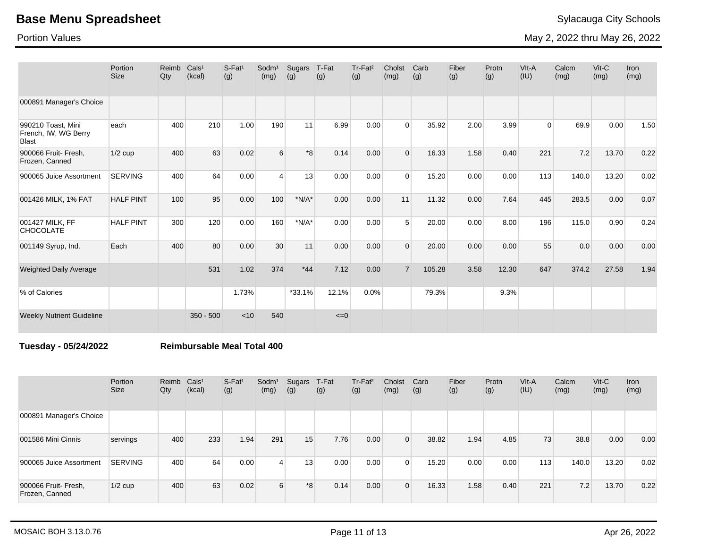Portion Values

May 2, 2022 thru May 26, 2022

|                                                            | Portion<br><b>Size</b> | Reimb<br>Qty | Cals <sup>1</sup><br>(kcal) | $S$ -Fat <sup>1</sup><br>(g) | Sodm <sup>1</sup><br>(mg) | Sugars<br>(g) | T-Fat<br>(g) | Tr-Fat <sup>2</sup><br>(g) | Cholst<br>(mg) | Carb<br>(g) | Fiber<br>(g) | Protn<br>(g) | $V$ lt-A<br>(IU) | Calcm<br>(mg) | $V$ it-C<br>(mg) | Iron<br>(mg) |
|------------------------------------------------------------|------------------------|--------------|-----------------------------|------------------------------|---------------------------|---------------|--------------|----------------------------|----------------|-------------|--------------|--------------|------------------|---------------|------------------|--------------|
| 000891 Manager's Choice                                    |                        |              |                             |                              |                           |               |              |                            |                |             |              |              |                  |               |                  |              |
| 990210 Toast, Mini<br>French, IW, WG Berry<br><b>Blast</b> | each                   | 400          | 210                         | 1.00                         | 190                       | 11            | 6.99         | 0.00                       | $\overline{0}$ | 35.92       | 2.00         | 3.99         | $\Omega$         | 69.9          | 0.00             | 1.50         |
| 900066 Fruit- Fresh,<br>Frozen, Canned                     | $1/2$ cup              | 400          | 63                          | 0.02                         | 6                         | $*8$          | 0.14         | 0.00                       | $\Omega$       | 16.33       | 1.58         | 0.40         | 221              | 7.2           | 13.70            | 0.22         |
| 900065 Juice Assortment                                    | <b>SERVING</b>         | 400          | 64                          | 0.00                         | $\overline{4}$            | 13            | 0.00         | 0.00                       | $\Omega$       | 15.20       | 0.00         | 0.00         | 113              | 140.0         | 13.20            | 0.02         |
| 001426 MILK, 1% FAT                                        | <b>HALF PINT</b>       | 100          | 95                          | 0.00                         | 100                       | $*N/A*$       | 0.00         | 0.00                       | 11             | 11.32       | 0.00         | 7.64         | 445              | 283.5         | 0.00             | 0.07         |
| 001427 MILK, FF<br><b>CHOCOLATE</b>                        | <b>HALF PINT</b>       | 300          | 120                         | 0.00                         | 160                       | $*N/A*$       | 0.00         | 0.00                       | 5 <sup>1</sup> | 20.00       | 0.00         | 8.00         | 196              | 115.0         | 0.90             | 0.24         |
| 001149 Syrup, Ind.                                         | Each                   | 400          | 80                          | 0.00                         | 30                        | 11            | 0.00         | 0.00                       | $\Omega$       | 20.00       | 0.00         | 0.00         | 55               | 0.0           | 0.00             | 0.00         |
| <b>Weighted Daily Average</b>                              |                        |              | 531                         | 1.02                         | 374                       | $*44$         | 7.12         | 0.00                       | $\overline{7}$ | 105.28      | 3.58         | 12.30        | 647              | 374.2         | 27.58            | 1.94         |
| % of Calories                                              |                        |              |                             | 1.73%                        |                           | $*33.1%$      | 12.1%        | $0.0\%$                    |                | 79.3%       |              | 9.3%         |                  |               |                  |              |
| <b>Weekly Nutrient Guideline</b>                           |                        |              | $350 - 500$                 | < 10                         | 540                       |               | $\leq=0$     |                            |                |             |              |              |                  |               |                  |              |

**Tuesday - 05/24/2022 Reimbursable Meal Total 400**

|                                        | Portion<br><b>Size</b> | Reimb<br>Qty | Cals <sup>1</sup><br>(kcal) | $S-Fat1$<br>(g) | Sodm <sup>1</sup><br>(mg) | Sugars<br>(g) | T-Fat<br>(g) | Tr-Fat <sup>2</sup><br>(g) | Cholst<br>(mg) | Carb<br>(g) | Fiber<br>(g) | Protn<br>(g) | VIt-A<br>(IU) | Calcm<br>(mg) | $V$ it-C<br>(mg) | <b>Iron</b><br>(mg) |
|----------------------------------------|------------------------|--------------|-----------------------------|-----------------|---------------------------|---------------|--------------|----------------------------|----------------|-------------|--------------|--------------|---------------|---------------|------------------|---------------------|
| 000891 Manager's Choice                |                        |              |                             |                 |                           |               |              |                            |                |             |              |              |               |               |                  |                     |
| 001586 Mini Cinnis                     | servings               | 400          | 233                         | 1.94            | 291                       | 15            | 7.76         | 0.00                       | 0              | 38.82       | 1.94         | 4.85         | 73            | 38.8          | 0.00             | 0.00                |
| 900065 Juice Assortment                | SERVING                | 400          | 64                          | 0.00            | 4                         | 13            | 0.00         | 0.00                       | $\Omega$       | 15.20       | 0.00         | 0.00         | 113           | 140.0         | 13.20            | 0.02                |
| 900066 Fruit- Fresh,<br>Frozen, Canned | $1/2$ cup              | 400          | 63                          | 0.02            | 6                         | *8            | 0.14         | 0.00                       | $\overline{0}$ | 16.33       | 1.58         | 0.40         | 221           | 7.2           | 13.70            | 0.22                |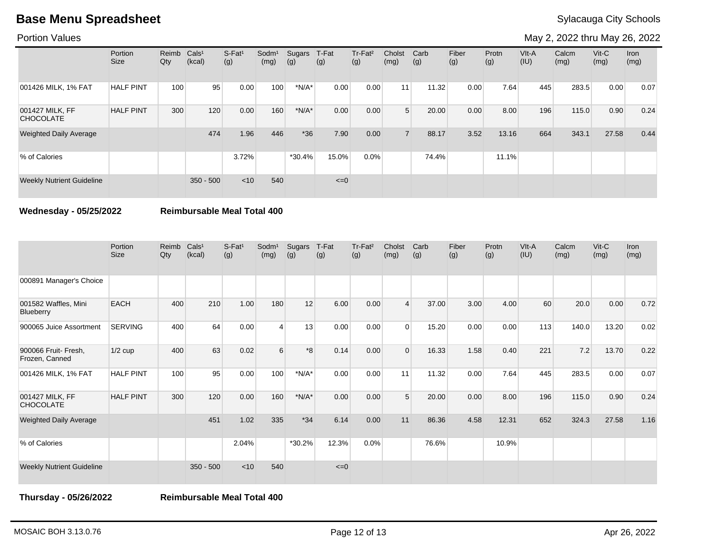Portion Values

May 2, 2022 thru May 26, 2022

|                                     | Portion<br>Size  | Reimb Cals <sup>1</sup><br>Qty | (kcal)      | $S-Fat1$<br>(g) | Sodm <sup>1</sup><br>(mg) | Sugars<br>(g) | T-Fat<br>(g) | Tr-Fat <sup>2</sup><br>(g) | Cholst<br>(mg)  | Carb<br>(g) | Fiber<br>(g) | Protn<br>(g) | $V$ lt-A<br>(IU) | Calcm<br>(mg) | $V$ it-C<br>(mg) | Iron<br>(mg) |
|-------------------------------------|------------------|--------------------------------|-------------|-----------------|---------------------------|---------------|--------------|----------------------------|-----------------|-------------|--------------|--------------|------------------|---------------|------------------|--------------|
| 001426 MILK, 1% FAT                 | <b>HALF PINT</b> | 100                            | 95          | 0.00            | 100                       | $*N/A*$       | 0.00         | 0.00                       | 11 <sub>1</sub> | 11.32       | 0.00         | 7.64         | 445              | 283.5         | 0.00             | 0.07         |
| 001427 MILK, FF<br><b>CHOCOLATE</b> | <b>HALF PINT</b> | 300                            | 120         | 0.00            | 160                       | $*N/A*$       | 0.00         | 0.00                       | $5^{\circ}$     | 20.00       | 0.00         | 8.00         | 196              | 115.0         | 0.90             | 0.24         |
| <b>Weighted Daily Average</b>       |                  |                                | 474         | 1.96            | 446                       | $*36$         | 7.90         | 0.00                       |                 | 88.17       | 3.52         | 13.16        | 664              | 343.1         | 27.58            | 0.44         |
| % of Calories                       |                  |                                |             | 3.72%           |                           | *30.4%        | 15.0%        | $0.0\%$                    |                 | 74.4%       |              | 11.1%        |                  |               |                  |              |
| <b>Weekly Nutrient Guideline</b>    |                  |                                | $350 - 500$ | $<$ 10          | 540                       |               | $\leq=0$     |                            |                 |             |              |              |                  |               |                  |              |

**Wednesday - 05/25/2022 Reimbursable Meal Total 400**

|                                        | Portion<br><b>Size</b> | Reimb<br>Qty | Cals <sup>1</sup><br>(kcal) | S-Fat <sup>1</sup><br>(g) | Sodm <sup>1</sup><br>(mg) | Sugars<br>(g) | T-Fat<br>(g) | Tr-Fat <sup>2</sup><br>(g) | Cholst<br>(mg) | Carb<br>(g) | Fiber<br>(g) | Protn<br>(g) | VIt-A<br>(IU) | Calcm<br>(mg) | $V$ it-C<br>(mg) | Iron<br>(mg) |
|----------------------------------------|------------------------|--------------|-----------------------------|---------------------------|---------------------------|---------------|--------------|----------------------------|----------------|-------------|--------------|--------------|---------------|---------------|------------------|--------------|
| 000891 Manager's Choice                |                        |              |                             |                           |                           |               |              |                            |                |             |              |              |               |               |                  |              |
| 001582 Waffles, Mini<br>Blueberry      | <b>EACH</b>            | 400          | 210                         | 1.00                      | 180                       | 12            | 6.00         | 0.00                       |                | 37.00       | 3.00         | 4.00         | 60            | 20.0          | 0.00             | 0.72         |
| 900065 Juice Assortment                | <b>SERVING</b>         | 400          | 64                          | 0.00                      | $\overline{4}$            | 13            | 0.00         | 0.00                       | $\Omega$       | 15.20       | 0.00         | 0.00         | 113           | 140.0         | 13.20            | 0.02         |
| 900066 Fruit- Fresh,<br>Frozen, Canned | $1/2$ cup              | 400          | 63                          | 0.02                      | 6                         | $*8$          | 0.14         | 0.00                       | $\Omega$       | 16.33       | 1.58         | 0.40         | 221           | 7.2           | 13.70            | 0.22         |
| 001426 MILK, 1% FAT                    | <b>HALF PINT</b>       | 100          | 95                          | 0.00                      | 100                       | $*N/A*$       | 0.00         | 0.00                       | 11             | 11.32       | 0.00         | 7.64         | 445           | 283.5         | 0.00             | 0.07         |
| 001427 MILK, FF<br><b>CHOCOLATE</b>    | <b>HALF PINT</b>       | 300          | 120                         | 0.00                      | 160                       | $*N/A*$       | 0.00         | 0.00                       | 5              | 20.00       | 0.00         | 8.00         | 196           | 115.0         | 0.90             | 0.24         |
| <b>Weighted Daily Average</b>          |                        |              | 451                         | 1.02                      | 335                       | $*34$         | 6.14         | 0.00                       | 11             | 86.36       | 4.58         | 12.31        | 652           | 324.3         | 27.58            | 1.16         |
| % of Calories                          |                        |              |                             | 2.04%                     |                           | *30.2%        | 12.3%        | 0.0%                       |                | 76.6%       |              | 10.9%        |               |               |                  |              |
| <b>Weekly Nutrient Guideline</b>       |                        |              | $350 - 500$                 | < 10                      | 540                       |               | $\leq=0$     |                            |                |             |              |              |               |               |                  |              |

**Thursday - 05/26/2022 Reimbursable Meal Total 400**